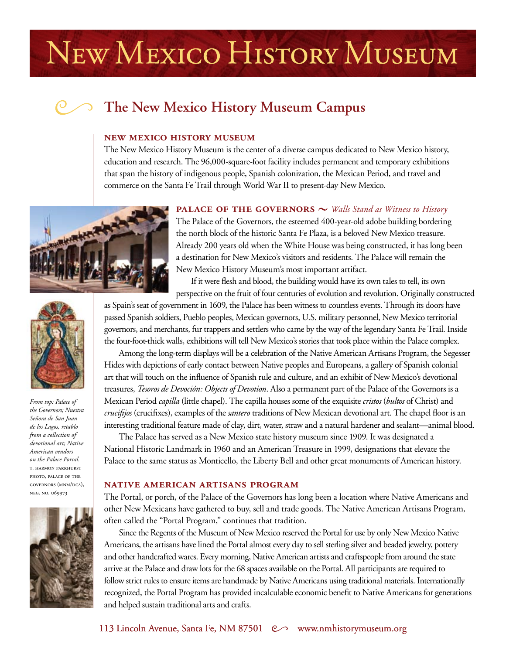# NEW MEXICO HISTORY MUSEUM

# **The New Mexico History Museum Campus**

#### **new mexico history museum**

The New Mexico History Museum is the center of a diverse campus dedicated to New Mexico history, education and research. The 96,000-square-foot facility includes permanent and temporary exhibitions that span the history of indigenous people, Spanish colonization, the Mexican Period, and travel and commerce on the Santa Fe Trail through World War II to present-day New Mexico.



### **PALACE OF THE GOVERNORS**  $\sim$  *Walls Stand as Witness to History*

The Palace of the Governors, the esteemed 400-year-old adobe building bordering the north block of the historic Santa Fe Plaza, is a beloved New Mexico treasure. Already 200 years old when the White House was being constructed, it has long been a destination for New Mexico's visitors and residents. The Palace will remain the New Mexico History Museum's most important artifact.

If it were flesh and blood, the building would have its own tales to tell, its own perspective on the fruit of four centuries of evolution and revolution. Originally constructed

as Spain's seat of government in 1609, the Palace has been witness to countless events. Through its doors have passed Spanish soldiers, Pueblo peoples, Mexican governors, U.S. military personnel, New Mexico territorial governors, and merchants, fur trappers and settlers who came by the way of the legendary Santa Fe Trail. Inside the four-foot-thick walls, exhibitions will tell New Mexico's stories that took place within the Palace complex.

Among the long-term displays will be a celebration of the Native American Artisans Program, the Segesser Hides with depictions of early contact between Native peoples and Europeans, a gallery of Spanish colonial art that will touch on the influence of Spanish rule and culture, and an exhibit of New Mexico's devotional treasures, *Tesoros de Devoción: Objects of Devotion*. Also a permanent part of the Palace of the Governors is a Mexican Period *capilla* (little chapel). The capilla houses some of the exquisite *cristos* (*bultos* of Christ) and *crucifijos* (crucifixes), examples of the *santero* traditions of New Mexican devotional art. The chapel floor is an interesting traditional feature made of clay, dirt, water, straw and a natural hardener and sealant—animal blood.

The Palace has served as a New Mexico state history museum since 1909. It was designated a National Historic Landmark in 1960 and an American Treasure in 1999, designations that elevate the Palace to the same status as Monticello, the Liberty Bell and other great monuments of American history.

#### **native american artisans program**

The Portal, or porch, of the Palace of the Governors has long been a location where Native Americans and other New Mexicans have gathered to buy, sell and trade goods. The Native American Artisans Program, often called the "Portal Program," continues that tradition.

Since the Regents of the Museum of New Mexico reserved the Portal for use by only New Mexico Native Americans, the artisans have lined the Portal almost every day to sell sterling silver and beaded jewelry, pottery and other handcrafted wares. Every morning, Native American artists and craftspeople from around the state arrive at the Palace and draw lots for the 68 spaces available on the Portal. All participants are required to follow strict rules to ensure items are handmade by Native Americans using traditional materials. Internationally recognized, the Portal Program has provided incalculable economic benefit to Native Americans for generations and helped sustain traditional arts and crafts.



*the Governors; Nuestra Señora de San Juan de los Lagos, retablo from a collection of devotional art; Native American vendors on the Palace Portal.* t. harmon parkhurst photo, palace of the governors (mnm/dca), neg. no. 069973